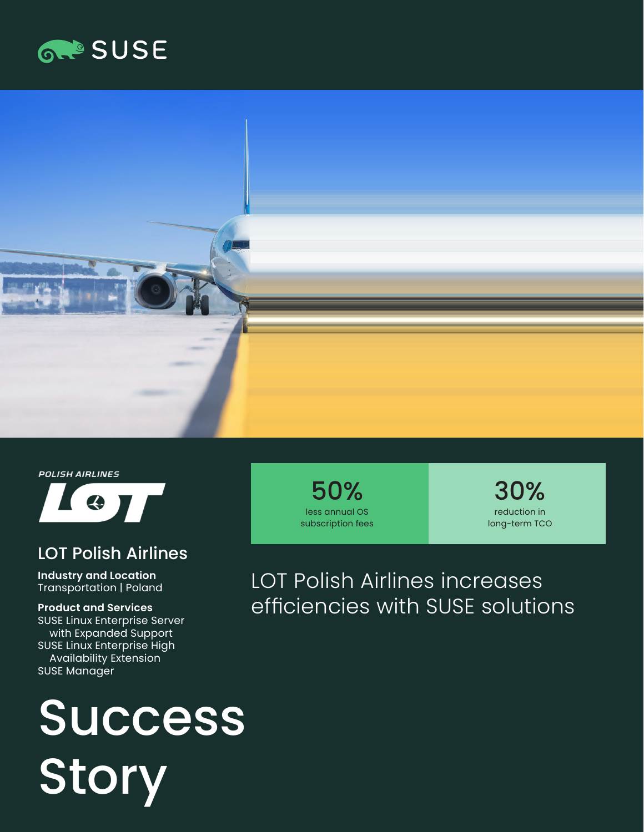



**POLISH AIRLINES** 



#### LOT Polish Airlines

**Industry and Location**  Transportation | Poland

**Product and Services**  SUSE Linux Enterprise Server with Expanded Support SUSE Linux Enterprise High Availability Extension SUSE Manager

# Success **Story**

50% less annual OS subscription fees

30% reduction in long-term TCO

### LOT Polish Airlines increases efficiencies with SUSE solutions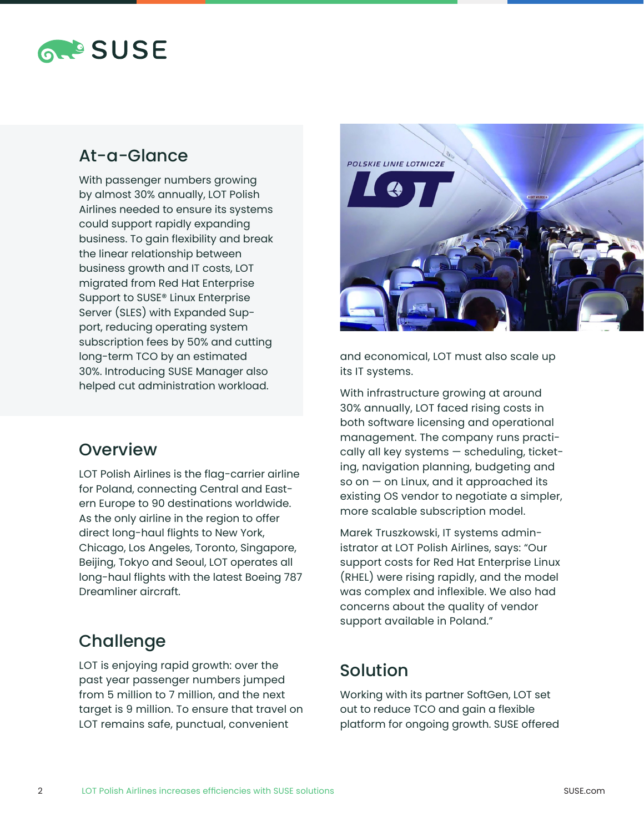

#### At-a-Glance

With passenger numbers growing by almost 30% annually, LOT Polish Airlines needed to ensure its systems could support rapidly expanding business. To gain flexibility and break the linear relationship between business growth and IT costs, LOT migrated from Red Hat Enterprise Support to SUSE® Linux Enterprise Server (SLES) with Expanded Support, reducing operating system subscription fees by 50% and cutting long-term TCO by an estimated 30%. Introducing SUSE Manager also helped cut administration workload.

#### **Overview**

LOT Polish Airlines is the flag-carrier airline for Poland, connecting Central and Eastern Europe to 90 destinations worldwide. As the only airline in the region to offer direct long-haul flights to New York, Chicago, Los Angeles, Toronto, Singapore, Beijing, Tokyo and Seoul, LOT operates all long-haul flights with the latest Boeing 787 Dreamliner aircraft.

#### **Challenge**

LOT is enjoying rapid growth: over the past year passenger numbers jumped from 5 million to 7 million, and the next target is 9 million. To ensure that travel on LOT remains safe, punctual, convenient



and economical, LOT must also scale up its IT systems.

With infrastructure growing at around 30% annually, LOT faced rising costs in both software licensing and operational management. The company runs practically all key systems — scheduling, ticketing, navigation planning, budgeting and so on  $-$  on Linux, and it approached its existing OS vendor to negotiate a simpler, more scalable subscription model.

Marek Truszkowski, IT systems administrator at LOT Polish Airlines, says: "Our support costs for Red Hat Enterprise Linux (RHEL) were rising rapidly, and the model was complex and inflexible. We also had concerns about the quality of vendor support available in Poland."

#### Solution

Working with its partner SoftGen, LOT set out to reduce TCO and gain a flexible platform for ongoing growth. SUSE offered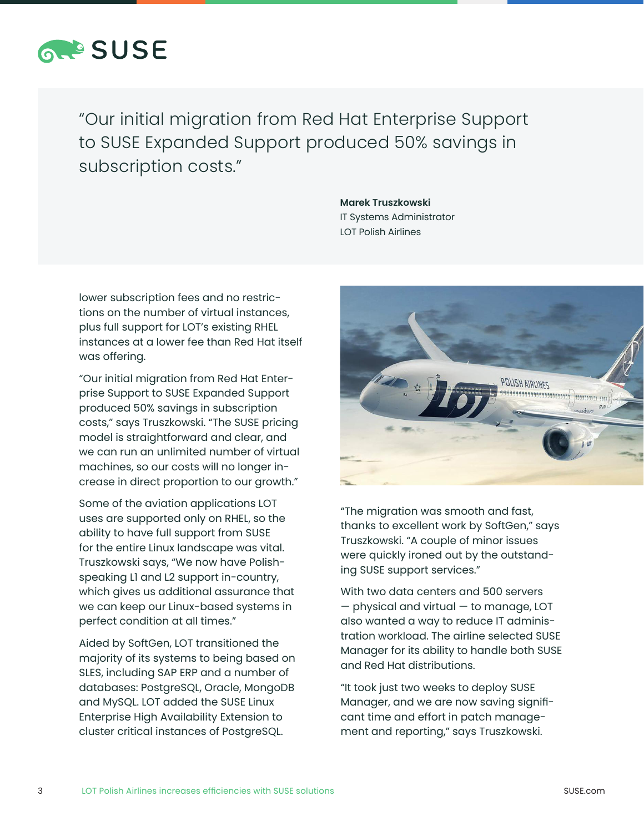

"Our initial migration from Red Hat Enterprise Support to SUSE Expanded Support produced 50% savings in subscription costs."

> **Marek Truszkowski** IT Systems Administrator LOT Polish Airlines

lower subscription fees and no restrictions on the number of virtual instances, plus full support for LOT's existing RHEL instances at a lower fee than Red Hat itself was offering.

"Our initial migration from Red Hat Enterprise Support to SUSE Expanded Support produced 50% savings in subscription costs," says Truszkowski. "The SUSE pricing model is straightforward and clear, and we can run an unlimited number of virtual machines, so our costs will no longer increase in direct proportion to our growth."

Some of the aviation applications LOT uses are supported only on RHEL, so the ability to have full support from SUSE for the entire Linux landscape was vital. Truszkowski says, "We now have Polishspeaking L1 and L2 support in-country, which gives us additional assurance that we can keep our Linux-based systems in perfect condition at all times."

Aided by SoftGen, LOT transitioned the majority of its systems to being based on SLES, including SAP ERP and a number of databases: PostgreSQL, Oracle, MongoDB and MySQL. LOT added the SUSE Linux Enterprise High Availability Extension to cluster critical instances of PostgreSQL.



"The migration was smooth and fast, thanks to excellent work by SoftGen," says Truszkowski. "A couple of minor issues were quickly ironed out by the outstanding SUSE support services."

With two data centers and 500 servers — physical and virtual — to manage, LOT also wanted a way to reduce IT administration workload. The airline selected SUSE Manager for its ability to handle both SUSE and Red Hat distributions.

"It took just two weeks to deploy SUSE Manager, and we are now saving significant time and effort in patch management and reporting," says Truszkowski.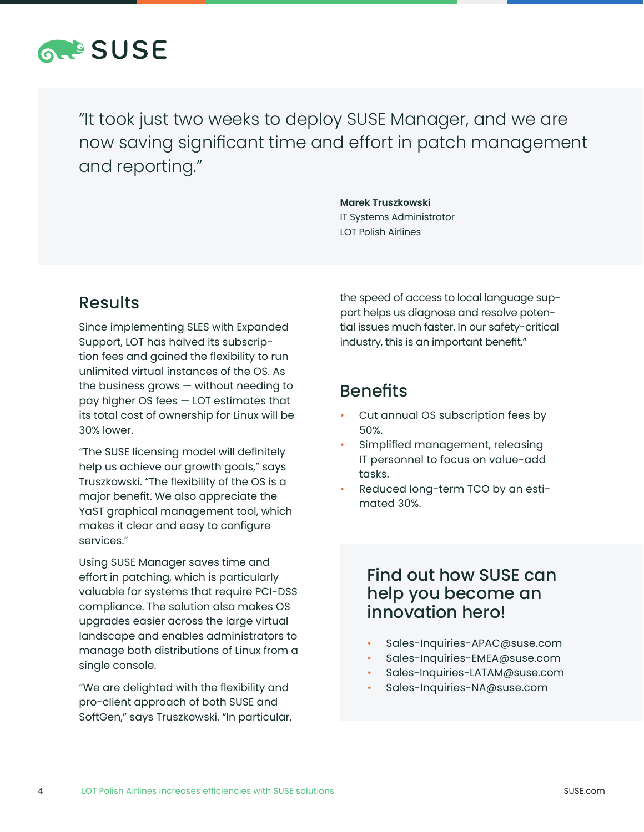

"It took just two weeks to deploy SUSE Manager, and we are now saving significant time and effort in patch management and reporting."

> **Marek Truszkowski**  IT Systems Administrator LOT Polish Airlines

#### Results

Since implementing SLES with Expanded Support, LOT has halved its subscription fees and gained the flexibility to run unlimited virtual instances of the OS. As the business grows — without needing to pay higher OS fees — LOT estimates that its total cost of ownership for Linux will be 30% lower.

"The SUSE licensing model will definitely help us achieve our growth goals," says Truszkowski. "The flexibility of the OS is a major benefit. We also appreciate the YaST graphical management tool, which makes it clear and easy to configure services."

Using SUSE Manager saves time and effort in patching, which is particularly valuable for systems that require PCI-DSS compliance. The solution also makes OS upgrades easier across the large virtual landscape and enables administrators to manage both distributions of Linux from a single console.

"We are delighted with the flexibility and pro-client approach of both SUSE and SoftGen," says Truszkowski. "In particular, the speed of access to local language support helps us diagnose and resolve potential issues much faster. In our safety-critical industry, this is an important benefit."

#### **Benefits**

- Cut annual OS subscription fees by 50%.
- Simplified management, releasing IT personnel to focus on value-add tasks.
- Reduced long-term TCO by an estimated 30%.

#### Find out how SUSE can help you become an innovation hero!

- Sales-Inquiries-APAC@suse.com
- Sales-Inquiries-EMEA@suse.com
- Sales-Inquiries-LATAM@suse.com
- Sales-Inquiries-NA@suse.com